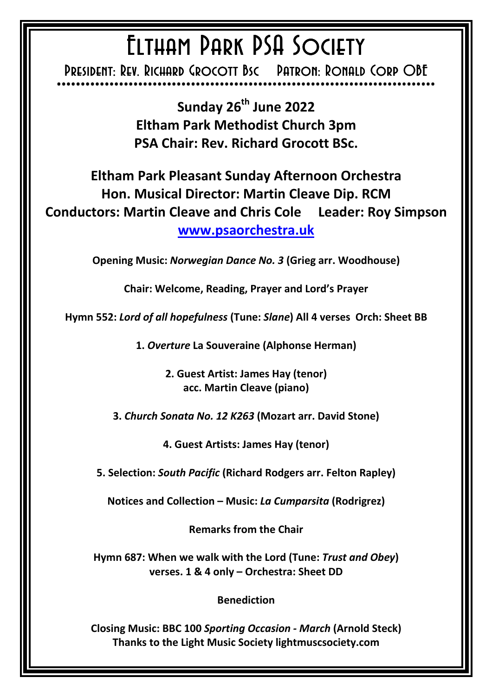## ELTHAM PARK PSA SOCIETY

PRESIDENT: REV. RICHARD GROCOTT BSC PATRON: RONALD CORP OBE \*\*\*\*\*\*\*\*\*\*\*\*\*\*\*\*\*\*\*\*\*\*\*\*\*\*\*\*\*\*\*\*\*\*\*\*\*\*\*\*\*\*\*\*\*\*\*\*\*\*\*\*\*\*\*\*\*\*\*\*\*\*\*\*\*\*\*\*\*\*\*\*\*\*\*\*\*\*\* \*\*\*\*\*\*\*\*\*\*\*\*\*\*\*\*\*\*\*\*\*\*\*\*\*\*\*\*

> **Sunday 26th June 2022 Eltham Park Methodist Church 3pm PSA Chair: Rev. Richard Grocott BSc.**

**Eltham Park Pleasant Sunday Afternoon Orchestra Hon. Musical Director: Martin Cleave Dip. RCM Conductors: Martin Cleave and Chris Cole Leader: Roy Simpson www.psaorchestra.uk** 

**Opening Music:** *Norwegian Dance No. 3* **(Grieg arr. Woodhouse)** 

**Chair: Welcome, Reading, Prayer and Lord's Prayer** 

**Hymn 552:** *Lord of all hopefulness* **(Tune:** *Slane***) All 4 verses Orch: Sheet BB** 

**1.** *Overture* **La Souveraine (Alphonse Herman)** 

**2. Guest Artist: James Hay (tenor) acc. Martin Cleave (piano)** 

**3.** *Church Sonata No. 12 K263* **(Mozart arr. David Stone)**

**4. Guest Artists: James Hay (tenor)** 

**5. Selection:** *South Pacific* **(Richard Rodgers arr. Felton Rapley)** 

**Notices and Collection – Music:** *La Cumparsita* **(Rodrigrez)** 

**Remarks from the Chair** 

**Hymn 687: When we walk with the Lord (Tune:** *Trust and Obey***) verses. 1 & 4 only – Orchestra: Sheet DD** 

**Benediction** 

**Closing Music: BBC 100** *Sporting Occasion - March* **(Arnold Steck) Thanks to the Light Music Society lightmuscsociety.com**